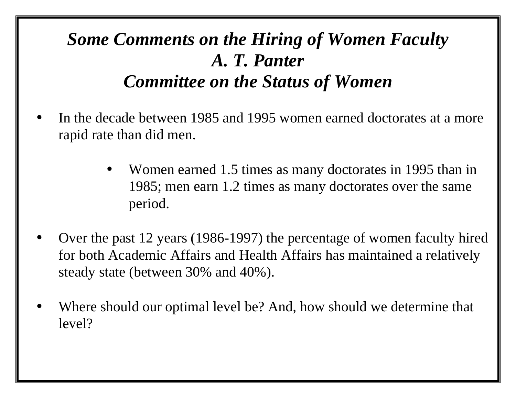### *Some Comments on the Hiring of Women Faculty A. T. Panter Committee on the Status of Women*

- In the decade between 1985 and 1995 women earned doctorates at a more rapid rate than did men.
	- Women earned 1.5 times as many doctorates in 1995 than in 1985; men earn 1.2 times as many doctorates over the same period.
- Over the past 12 years (1986-1997) the percentage of women faculty hired for both Academic Affairs and Health Affairs has maintained a relatively steady state (between 30% and 40%).
- Where should our optimal level be? And, how should we determine that level?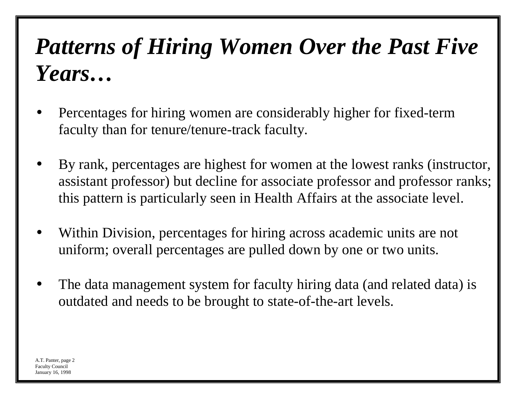# *Patterns of Hiring Women Over the Past Five Years…*

- Percentages for hiring women are considerably higher for fixed-term faculty than for tenure/tenure-track faculty.
- By rank, percentages are highest for women at the lowest ranks (instructor, assistant professor) but decline for associate professor and professor ranks; this pattern is particularly seen in Health Affairs at the associate level.
- Within Division, percentages for hiring across academic units are not uniform; overall percentages are pulled down by one or two units.
- The data management system for faculty hiring data (and related data) is outdated and needs to be brought to state-of-the-art levels.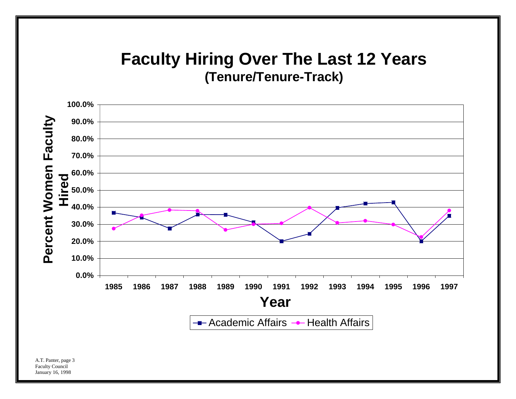#### **Faculty Hiring Over The Last 12 Years (Tenure/Tenure-Track)**



A.T. Panter, page 3 Faculty Council January 16, 1998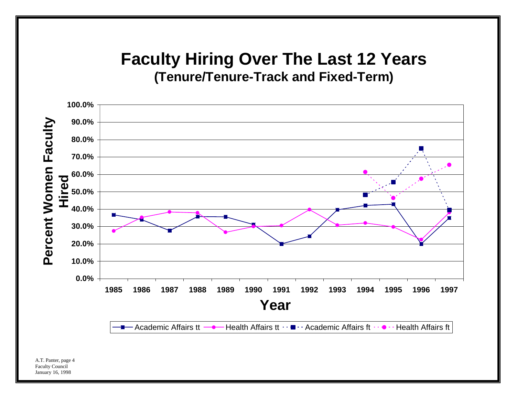#### **Faculty Hiring Over The Last 12 Years (Tenure/Tenure-Track and Fixed-Term)**



A.T. Panter, page 4 Faculty Council January 16, 1998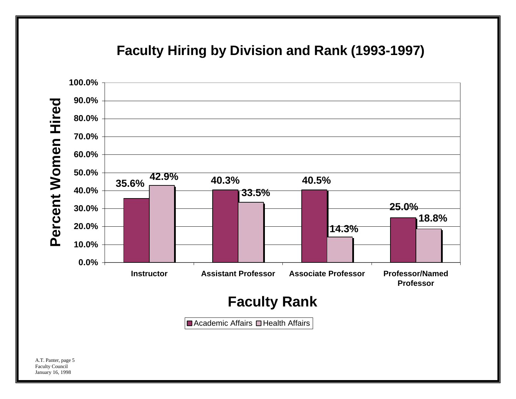#### **Faculty Hiring by Division and Rank (1993-1997)**

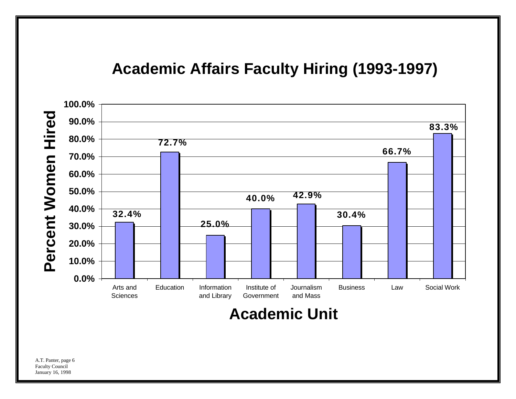#### **Academic Affairs Faculty Hiring (1993-1997)**



**Academic Unit**

A.T. Panter, page 6 Faculty Council January 16, 1998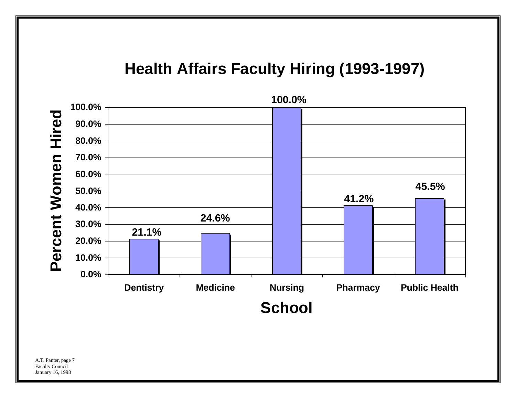#### **Health Affairs Faculty Hiring (1993-1997)**



A.T. Panter, page 7 Faculty Council January 16, 1998